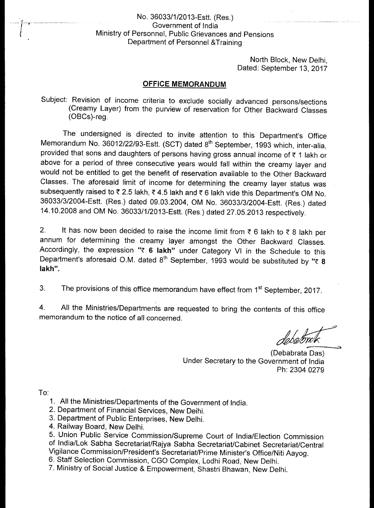## No. 36033/1/2013-Estt. (Res.) Government of India Ministry of Personnel, Public Grievances and Pensions Department of Personnel &Training

North Block, New Delhi, Dated: September 13, 2017

## **OFFICE MEMORANDUM**

Subject: Revision of income criteria to exclude socially advanced persons/sections (Creamy Layer) from the purview of reservation for Other Backward Classes (OBCs)-reg.

The undersigned is directed to invite attention to this Department's Office Memorandum No. 36012/22/93-Estt. (SCT) dated 8<sup>th</sup> September, 1993 which, inter-alia, provided that sons and daughters of persons having gross annual income of  $\bar{\tau}$  1 lakh or above for a period of three consecutive years would fall within the creamy layer and would not be entitled to get the benefit of reservation available to the Other Backward Classes. The aforesaid limit of income for determining the creamy layer status was subsequently raised to  $\overline{\tau}$  2.5 lakh,  $\overline{\tau}$  4.5 lakh and  $\overline{\tau}$  6 lakh vide this Department's OM No. 36033/3/2004-Estt. (Res.) dated 09.03.2004, OM No. 36033/3/2004-Estt. (Res.) dated 14.10.2008 and OM No. 36033/1/2013-Estt. (Res.) dated 27.05.2013 respectively.

2. It has now been decided to raise the income limit from  $\bar{\tau}$  6 lakh to  $\bar{\tau}$  8 lakh per annum for determining the creamy layer amongst the Other Backward Classes. Accordingly, the expression "! **6 lakh"** under Category VI in the Schedule to this Department's aforesaid O.M. dated  $8<sup>th</sup>$  September, 1993 would be substituted by " $\bar{\epsilon}$  8 **lakh".** 

3. The provisions of this office memorandum have effect from 1<sup>st</sup> September, 2017.

4. All the Ministries/Departments are requested to bring the contents of this office memorandum to the notice of all concerned.

(Debabrata Das) Under Secretary to the Government of India Ph: 2304 0279

To:

- 1. All the Ministries/Departments of the Government of India.
- 2. Department of Financial Services, New Deihi.
- 3. Department of Public Enterprises, New Delhi.
- 4. Railway Board, New Delhi.

5. Union Public Service Commission/Supreme Court of India/Election Commission of India/Lok Sabha Secretariat/Rajya Sabha Secretariat/Cabinet Secretariat/Central Vigilance Commission/President's Secretariat/Prime Minister's Office/Niti Aayog.

6. Staff Selection Commission, CGO Complex, Lodhi Road, New Delhi.

7. Ministry of Social Justice & Empowerment, Shastri Bhawan, New Delhi.